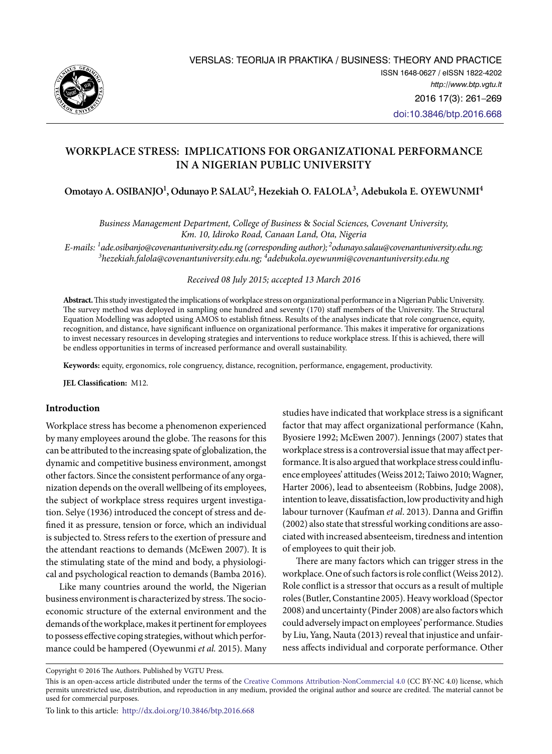

# **Workplace Stress: Implications for Organizational Performance in a Nigerian Public University**

Omotayo A. OSIBANJO<sup>1</sup>, Odunayo P. SALAU<sup>2</sup>, Hezekiah O. FALOLA<sup>3</sup>, Adebukola E. OYEWUNMI<sup>4</sup>

*Business Management Department, College of Business* & *Social Sciences, Covenant University, Km. 10, Idiroko Road, Canaan Land, Ota, Nigeria* 

*E-mails: <sup>1</sup> [ade.osibanjo@covenantuniversity.edu.ng \(corresponding author\);](mailto:ade.osibanjo@covenantuniversity.edu.ng%20(corresponding%20author);%20) [2odunayo.salau@covenantuniversity.edu.ng;](mailto:2odunayo.salau@covenantuniversity.edu.ng;%20)  3 [hezekiah.falola@covenantuniversity.edu.ng;](mailto:3hezekiah.falola@covenantuniversity.edu.ng) 4 adebukola.oyewunmi@covenantuniversity.edu.ng*

### *Received 08 July 2015; accepted 13 March 2016*

**Abstract.** This study investigated the implications of workplace stress on organizational performance in a Nigerian Public University. The survey method was deployed in sampling one hundred and seventy (170) staff members of the University. The Structural Equation Modelling was adopted using AMOS to establish fitness. Results of the analyses indicate that role congruence, equity, recognition, and distance, have significant influence on organizational performance. This makes it imperative for organizations to invest necessary resources in developing strategies and interventions to reduce workplace stress. If this is achieved, there will be endless opportunities in terms of increased performance and overall sustainability.

**Keywords:** equity, ergonomics, role congruency, distance, recognition, performance, engagement, productivity.

**JEL Classification:** M12.

# **Introduction**

Workplace stress has become a phenomenon experienced by many employees around the globe. The reasons for this can be attributed to the increasing spate of globalization, the dynamic and competitive business environment, amongst other factors. Since the consistent performance of any organization depends on the overall wellbeing of its employees, the subject of workplace stress requires urgent investigation. Selye (1936) introduced the concept of stress and defined it as pressure, tension or force, which an individual is subjected to. Stress refers to the exertion of pressure and the attendant reactions to demands (McEwen 2007). It is the stimulating state of the mind and body, a physiological and psychological reaction to demands (Bamba 2016).

Like many countries around the world, the Nigerian business environment is characterized by stress. The socioeconomic structure of the external environment and the demands of the workplace, makes it pertinent for employees to possess effective coping strategies, without which performance could be hampered (Oyewunmi *et al.* 2015). Many

studies have indicated that workplace stress is a significant factor that may affect organizational performance (Kahn, Byosiere 1992; McEwen 2007). Jennings (2007) states that workplace stress is a controversial issue that may affect performance. It is also argued that workplace stress could influence employees' attitudes (Weiss 2012; Taiwo 2010; Wagner, Harter 2006), lead to absenteeism (Robbins, Judge 2008), intention to leave, dissatisfaction, low productivity and high labour turnover (Kaufman *et al*. 2013). Danna and Griffin (2002) also state that stressful working conditions are associated with increased absenteeism, tiredness and intention of employees to quit their job.

There are many factors which can trigger stress in the workplace. One of such factors is role conflict (Weiss 2012). Role conflict is a stressor that occurs as a result of multiple roles (Butler, Constantine 2005). Heavy workload (Spector 2008) and uncertainty (Pinder 2008) are also factors which could adversely impact on employees' performance. Studies by Liu, Yang, Nauta (2013) reveal that injustice and unfairness affects individual and corporate performance. Other

Copyright © 2016 The Authors. Published by VGTU Press.

This is an open-access article distributed under the terms of the [Creative Commons Attribution-NonCommercial 4.0](http://creativecommons.org/licenses/by-nc/4.0/) (CC BY-NC 4.0) license, which permits unrestricted use, distribution, and reproduction in any medium, provided the original author and source are credited. The material cannot be used for commercial purposes.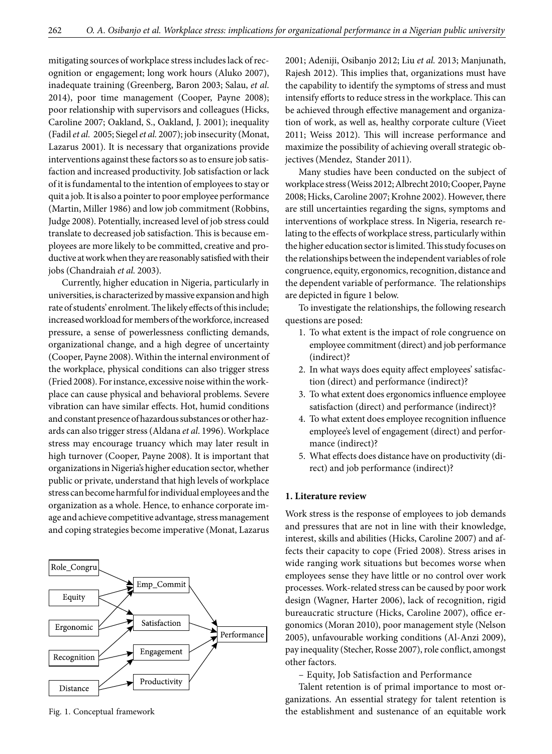mitigating sources of workplace stress includes lack of recognition or engagement; long work hours (Aluko 2007), inadequate training (Greenberg, Baron 2003; Salau, *et al*. 2014), poor time management (Cooper, Payne 2008); poor relationship with supervisors and colleagues (Hicks, Caroline 2007; Oakland, S., Oakland, J. 2001); inequality (Fadil *et al.* 2005; Siegel *et al.* 2007); job insecurity (Monat, Lazarus 2001). It is necessary that organizations provide interventions against these factors so as to ensure job satisfaction and increased productivity. Job satisfaction or lack of it is fundamental to the intention of employees to stay or quit a job. It is also a pointer to poor employee performance (Martin, Miller 1986) and low job commitment (Robbins, Judge 2008). Potentially, increased level of job stress could translate to decreased job satisfaction. This is because employees are more likely to be committed, creative and productive at work when they are reasonably satisfied with their jobs (Chandraiah *et al.* 2003).

Currently, higher education in Nigeria, particularly in universities, is characterized by massive expansion and high rate of students' enrolment. The likely effects of this include; increased workload for members of the workforce, increased pressure, a sense of powerlessness conflicting demands, organizational change, and a high degree of uncertainty (Cooper, Payne 2008). Within the internal environment of the workplace, physical conditions can also trigger stress (Fried 2008). For instance, excessive noise within the workplace can cause physical and behavioral problems. Severe vibration can have similar effects. Hot, humid conditions and constant presence of hazardous substances or other hazards can also trigger stress (Aldana *et al*. 1996). Workplace stress may encourage truancy which may later result in high turnover (Cooper, Payne 2008). It is important that organizations in Nigeria's higher education sector, whether public or private, understand that high levels of workplace stress can become harmful for individual employees and the organization as a whole. Hence, to enhance corporate image and achieve competitive advantage, stress management and coping strategies become imperative (Monat, Lazarus



2001; Adeniji, Osibanjo 2012; Liu *et al.* 2013; Manjunath, Rajesh 2012). This implies that, organizations must have the capability to identify the symptoms of stress and must intensify efforts to reduce stress in the workplace. This can be achieved through effective management and organization of work, as well as, healthy corporate culture (Vieet 2011; Weiss 2012). This will increase performance and maximize the possibility of achieving overall strategic objectives (Mendez, Stander 2011).

Many studies have been conducted on the subject of workplace stress (Weiss 2012; Albrecht 2010; Cooper, Payne 2008; Hicks, Caroline 2007; Krohne 2002). However, there are still uncertainties regarding the signs, symptoms and interventions of workplace stress. In Nigeria, research relating to the effects of workplace stress, particularly within the higher education sector is limited. This study focuses on the relationships between the independent variables of role congruence, equity, ergonomics, recognition, distance and the dependent variable of performance. The relationships are depicted in figure 1 below.

To investigate the relationships, the following research questions are posed:

- 1. To what extent is the impact of role congruence on employee commitment (direct) and job performance (indirect)?
- 2. In what ways does equity affect employees' satisfaction (direct) and performance (indirect)?
- 3. To what extent does ergonomics influence employee satisfaction (direct) and performance (indirect)?
- 4. To what extent does employee recognition influence employee's level of engagement (direct) and performance (indirect)?
- 5. What effects does distance have on productivity (direct) and job performance (indirect)?

# **1. Literature review**

Work stress is the response of employees to job demands and pressures that are not in line with their knowledge, interest, skills and abilities (Hicks, Caroline 2007) and affects their capacity to cope (Fried 2008). Stress arises in wide ranging work situations but becomes worse when employees sense they have little or no control over work processes. Work-related stress can be caused by poor work design (Wagner, Harter 2006), lack of recognition, rigid bureaucratic structure (Hicks, Caroline 2007), office ergonomics (Moran 2010), poor management style (Nelson 2005), unfavourable working conditions (Al-Anzi 2009), pay inequality (Stecher, Rosse 2007), role conflict, amongst other factors.

– Equity, Job Satisfaction and Performance

Talent retention is of primal importance to most organizations. An essential strategy for talent retention is Fig. 1. Conceptual framework the establishment and sustenance of an equitable work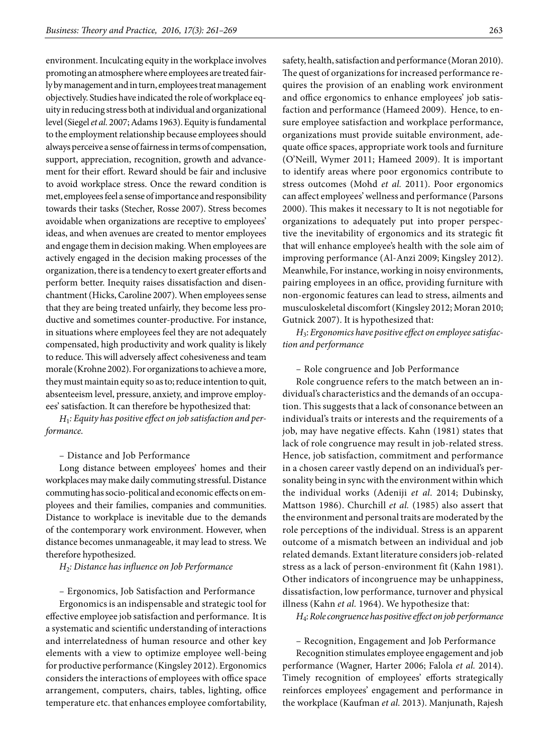environment. Inculcating equity in the workplace involves promoting an atmosphere where employees are treated fairly by management and in turn, employees treat management objectively. Studies have indicated the role of workplace equity in reducing stress both at individual and organizational level (Siegel *et al.* 2007; Adams 1963). Equity is fundamental to the employment relationship because employees should always perceive a sense of fairness in terms of compensation, support, appreciation, recognition, growth and advancement for their effort. Reward should be fair and inclusive to avoid workplace stress. Once the reward condition is met, employees feel a sense of importance and responsibility towards their tasks (Stecher, Rosse 2007). Stress becomes avoidable when organizations are receptive to employees' ideas, and when avenues are created to mentor employees and engage them in decision making. When employees are actively engaged in the decision making processes of the organization, there is a tendency to exert greater efforts and perform better. Inequity raises dissatisfaction and disenchantment (Hicks, Caroline 2007). When employees sense that they are being treated unfairly, they become less productive and sometimes counter-productive. For instance, in situations where employees feel they are not adequately compensated, high productivity and work quality is likely to reduce. This will adversely affect cohesiveness and team morale (Krohne 2002). For organizations to achieve a more, they must maintain equity so as to; reduce intention to quit, absenteeism level, pressure, anxiety, and improve employees' satisfaction. It can therefore be hypothesized that:

*H*1*: Equity has positive effect on job satisfaction and performance.*

– Distance and Job Performance

Long distance between employees' homes and their workplaces may make daily commuting stressful. Distance commuting has socio-political and economic effects on employees and their families, companies and communities. Distance to workplace is inevitable due to the demands of the contemporary work environment. However, when distance becomes unmanageable, it may lead to stress. We therefore hypothesized.

# *H*2*: Distance has influence on Job Performance*

– Ergonomics, Job Satisfaction and Performance

Ergonomics is an indispensable and strategic tool for effective employee job satisfaction and performance. It is a systematic and scientific understanding of interactions and interrelatedness of human resource and other key elements with a view to optimize employee well-being for productive performance (Kingsley 2012). Ergonomics considers the interactions of employees with office space arrangement, computers, chairs, tables, lighting, office temperature etc. that enhances employee comfortability,

safety, health, satisfaction and performance (Moran 2010). The quest of organizations for increased performance requires the provision of an enabling work environment and office ergonomics to enhance employees' job satisfaction and performance (Hameed 2009). Hence, to ensure employee satisfaction and workplace performance, organizations must provide suitable environment, adequate office spaces, appropriate work tools and furniture (O'Neill, Wymer 2011; Hameed 2009). It is important to identify areas where poor ergonomics contribute to stress outcomes (Mohd *et al.* 2011). Poor ergonomics can affect employees' wellness and performance (Parsons 2000). This makes it necessary to It is not negotiable for organizations to adequately put into proper perspective the inevitability of ergonomics and its strategic fit that will enhance employee's health with the sole aim of improving performance (Al-Anzi 2009; Kingsley 2012). Meanwhile, For instance, working in noisy environments, pairing employees in an office, providing furniture with non-ergonomic features can lead to stress, ailments and musculoskeletal discomfort (Kingsley 2012; Moran 2010; Gutnick 2007). It is hypothesized that:

*H*3: *Ergonomics have positive effect on employee satisfaction and performance*

– Role congruence and Job Performance

Role congruence refers to the match between an individual's characteristics and the demands of an occupation. This suggests that a lack of consonance between an individual's traits or interests and the requirements of a job, may have negative effects. Kahn (1981) states that lack of role congruence may result in job-related stress. Hence, job satisfaction, commitment and performance in a chosen career vastly depend on an individual's personality being in sync with the environment within which the individual works (Adeniji *et al*. 2014; Dubinsky, Mattson 1986). Churchill *et al.* (1985) also assert that the environment and personal traits are moderated by the role perceptions of the individual. Stress is an apparent outcome of a mismatch between an individual and job related demands. Extant literature considers job-related stress as a lack of person-environment fit (Kahn 1981). Other indicators of incongruence may be unhappiness, dissatisfaction, low performance, turnover and physical illness (Kahn *et al.* 1964). We hypothesize that:

*H*4: *Role congruence has positive effect on job performance*

– Recognition, Engagement and Job Performance Recognition stimulates employee engagement and job performance (Wagner, Harter 2006; Falola *et al.* 2014). Timely recognition of employees' efforts strategically reinforces employees' engagement and performance in the workplace (Kaufman *et al.* 2013). Manjunath, Rajesh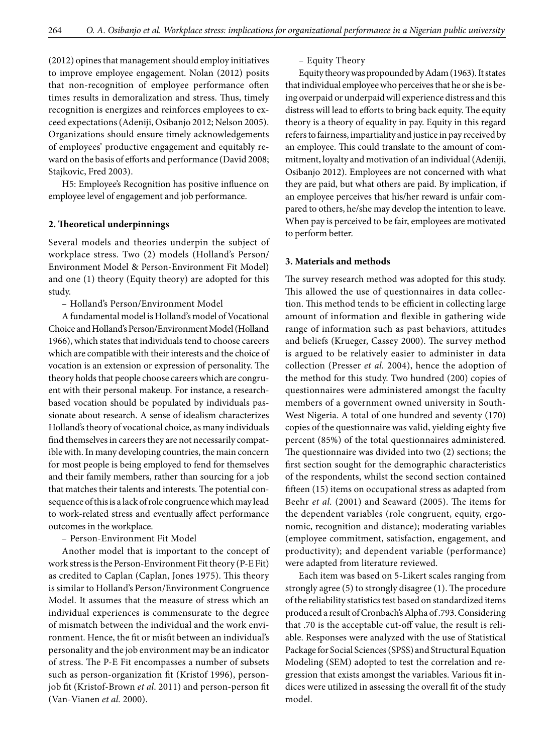(2012) opines that management should employ initiatives to improve employee engagement. Nolan (2012) posits that non-recognition of employee performance often times results in demoralization and stress. Thus, timely recognition is energizes and reinforces employees to exceed expectations (Adeniji, Osibanjo 2012; Nelson 2005). Organizations should ensure timely acknowledgements of employees' productive engagement and equitably reward on the basis of efforts and performance (David 2008; Stajkovic, Fred 2003).

H5: Employee's Recognition has positive influence on employee level of engagement and job performance.

#### **2. Theoretical underpinnings**

Several models and theories underpin the subject of workplace stress. Two (2) models (Holland's Person/ Environment Model & Person-Environment Fit Model) and one (1) theory (Equity theory) are adopted for this study.

– Holland's Person/Environment Model

A fundamental model is Holland's model of Vocational Choice and Holland's Person/Environment Model (Holland 1966), which states that individuals tend to choose careers which are compatible with their interests and the choice of vocation is an extension or expression of personality. The theory holds that people choose careers which are congruent with their personal makeup. For instance, a researchbased vocation should be populated by individuals passionate about research. A sense of idealism characterizes Holland's theory of vocational choice, as many individuals find themselves in careers they are not necessarily compatible with. In many developing countries, the main concern for most people is being employed to fend for themselves and their family members, rather than sourcing for a job that matches their talents and interests. The potential consequence of this is a lack of role congruence which may lead to work-related stress and eventually affect performance outcomes in the workplace.

– Person-Environment Fit Model

Another model that is important to the concept of work stress is the Person-Environment Fit theory (P-E Fit) as credited to Caplan (Caplan, Jones 1975). This theory is similar to Holland's Person/Environment Congruence Model. It assumes that the measure of stress which an individual experiences is commensurate to the degree of mismatch between the individual and the work environment. Hence, the fit or misfit between an individual's personality and the job environment may be an indicator of stress. The P-E Fit encompasses a number of subsets such as person-organization fit (Kristof 1996), personjob fit (Kristof-Brown *et al*. 2011) and person-person fit (Van-Vianen *et al.* 2000).

#### – Equity Theory

Equity theory was propounded by Adam (1963). It states that individual employee who perceives that he or she is being overpaid or underpaid will experience distress and this distress will lead to efforts to bring back equity. The equity theory is a theory of equality in pay. Equity in this regard refers to fairness, impartiality and justice in pay received by an employee. This could translate to the amount of commitment, loyalty and motivation of an individual (Adeniji, Osibanjo 2012). Employees are not concerned with what they are paid, but what others are paid. By implication, if an employee perceives that his/her reward is unfair compared to others, he/she may develop the intention to leave. When pay is perceived to be fair, employees are motivated to perform better.

## **3. Materials and methods**

The survey research method was adopted for this study. This allowed the use of questionnaires in data collection. This method tends to be efficient in collecting large amount of information and flexible in gathering wide range of information such as past behaviors, attitudes and beliefs (Krueger, Cassey 2000). The survey method is argued to be relatively easier to administer in data collection (Presser *et al.* 2004), hence the adoption of the method for this study. Two hundred (200) copies of questionnaires were administered amongst the faculty members of a government owned university in South-West Nigeria. A total of one hundred and seventy (170) copies of the questionnaire was valid, yielding eighty five percent (85%) of the total questionnaires administered. The questionnaire was divided into two (2) sections; the first section sought for the demographic characteristics of the respondents, whilst the second section contained fifteen (15) items on occupational stress as adapted from Beehr *et al.* (2001) and Seaward (2005). The items for the dependent variables (role congruent, equity, ergonomic, recognition and distance); moderating variables (employee commitment, satisfaction, engagement, and productivity); and dependent variable (performance) were adapted from literature reviewed.

Each item was based on 5-Likert scales ranging from strongly agree (5) to strongly disagree (1). The procedure of the reliability statistics test based on standardized items produced a result of Cronbach's Alpha of .793. Considering that .70 is the acceptable cut-off value, the result is reliable. Responses were analyzed with the use of Statistical Package for Social Sciences (SPSS) and Structural Equation Modeling (SEM) adopted to test the correlation and regression that exists amongst the variables. Various fit indices were utilized in assessing the overall fit of the study model.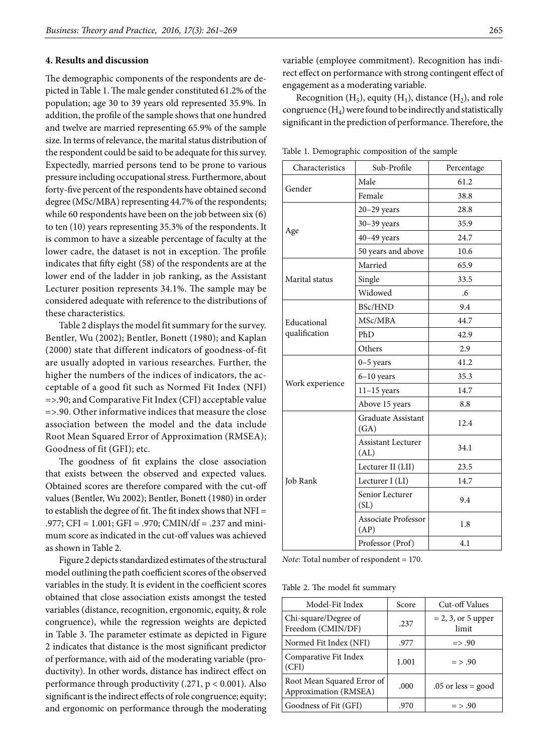### **4. Results and discussion**

The demographic components of the respondents are depicted in Table 1. The male gender constituted 61.2% of the population; age 30 to 39 years old represented 35.9%. In addition, the profile of the sample shows that one hundred and twelve are married representing 65.9% of the sample size. In terms of relevance, the marital status distribution of the respondent could be said to be adequate for this survey. Expectedly, married persons tend to be prone to various pressure including occupational stress. Furthermore, about forty-five percent of the respondents have obtained second degree (MSc/MBA) representing 44.7% of the respondents; while 60 respondents have been on the job between six (6) to ten (10) years representing 35.3% of the respondents. It is common to have a sizeable percentage of faculty at the lower cadre, the dataset is not in exception. The profile indicates that fifty eight (58) of the respondents are at the lower end of the ladder in job ranking, as the Assistant Lecturer position represents 34.1%. The sample may be considered adequate with reference to the distributions of these characteristics.

Table 2 displays the model fit summary for the survey. Bentler, Wu (2002); Bentler, Bonett (1980); and Kaplan (2000) state that different indicators of goodness-of-fit are usually adopted in various researches. Further, the higher the numbers of the indices of indicators, the acceptable of a good fit such as Normed Fit Index (NFI) =>.90; and Comparative Fit Index (CFI) acceptable value =>.90. Other informative indices that measure the close association between the model and the data include Root Mean Squared Error of Approximation (RMSEA); Goodness of fit (GFI); etc.

The goodness of fit explains the close association that exists between the observed and expected values. Obtained scores are therefore compared with the cut-off values (Bentler, Wu 2002); Bentler, Bonett (1980) in order to establish the degree of fit. The fit index shows that NFI = .977; CFI = 1.001; GFI = .970; CMIN/df = .237 and minimum score as indicated in the cut-off values was achieved as shown in Table 2.

Figure 2 depicts standardized estimates of the structural model outlining the path coefficient scores of the observed variables in the study. It is evident in the coefficient scores obtained that close association exists amongst the tested variables (distance, recognition, ergonomic, equity, & role congruence), while the regression weights are depicted in Table 3. The parameter estimate as depicted in Figure 2 indicates that distance is the most significant predictor of performance, with aid of the moderating variable (productivity). In other words, distance has indirect effect on performance through productivity (.271, p < 0.001). Also significant is the indirect effects of role congruence; equity; and ergonomic on performance through the moderating

variable (employee commitment). Recognition has indirect effect on performance with strong contingent effect of engagement as a moderating variable.

Recognition  $(H_5)$ , equity  $(H_1)$ , distance  $(H_2)$ , and role congruence  $(H_4)$  were found to be indirectly and statistically significant in the prediction of performance. Therefore, the

Table 1. Demographic composition of the sample

| Characteristics | Sub-Profile                       | Percentage |  |  |
|-----------------|-----------------------------------|------------|--|--|
| Gender          | Male                              | 61.2       |  |  |
|                 | Female                            | 38.8       |  |  |
|                 | $20-29$ years                     | 28.8       |  |  |
|                 | $30-39$ years                     | 35.9       |  |  |
| Age             | $40-49$ years                     | 24.7       |  |  |
|                 | 50 years and above                | 10.6       |  |  |
|                 | Married                           | 65.9       |  |  |
| Marital status  | Single                            | 33.5       |  |  |
|                 | Widowed                           | .6         |  |  |
|                 | <b>BSc/HND</b>                    | 9.4        |  |  |
| Educational     | MSc/MBA                           | 44.7       |  |  |
| qualification   | PhD                               | 42.9       |  |  |
|                 | Others                            | 2.9        |  |  |
| Work experience | $0-5$ years                       | 41.2       |  |  |
|                 | $6-10$ years                      | 35.3       |  |  |
|                 | $11-15$ years                     | 14.7       |  |  |
|                 | Above 15 years                    | 8.8        |  |  |
|                 | Graduate Assistant<br>(GA)        | 12.4       |  |  |
|                 | <b>Assistant Lecturer</b><br>(AL) | 34.1       |  |  |
| Job Rank        | Lecturer II (LII)                 | 23.5       |  |  |
|                 | Lecturer I (LI)                   | 14.7       |  |  |
|                 | Senior Lecturer<br>(SL)           | 9.4        |  |  |
|                 | Associate Professor<br>(AP)       | 1.8        |  |  |
|                 | Professor (Prof)                  | 4.1        |  |  |

*Note:* Total number of respondent = 170.

Table 2. The model fit summary

| Model-Fit Index                                     | Score | Cut-off Values                |
|-----------------------------------------------------|-------|-------------------------------|
| Chi-square/Degree of<br>Freedom (CMIN/DF)           | .237  | $= 2, 3,$ or 5 upper<br>limit |
| Normed Fit Index (NFI)                              | .977  | $\Rightarrow .90$             |
| Comparative Fit Index<br>(CFI)                      | 1.001 | $=$ > .90                     |
| Root Mean Squared Error of<br>Approximation (RMSEA) | .000  | $.05$ or less = good          |
| Goodness of Fit (GFI)                               | .970  | $=$ > .90                     |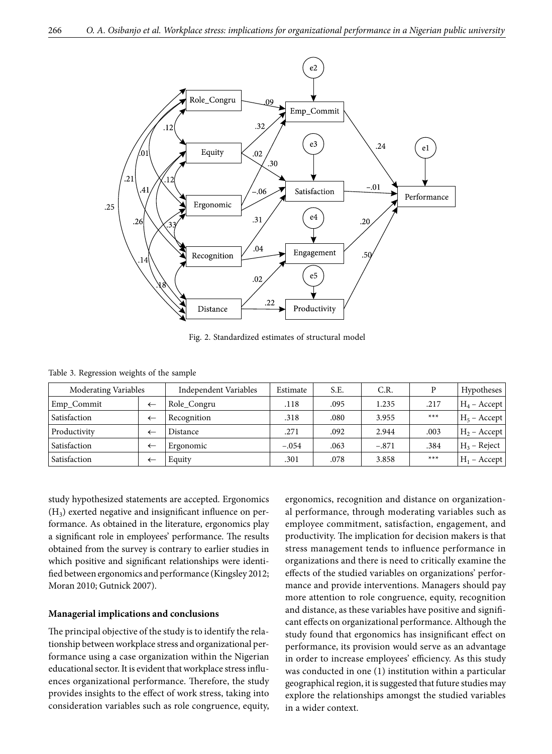

Fig. 2. Standardized estimates of structural model

|  |  | Table 3. Regression weights of the sample |  |  |  |
|--|--|-------------------------------------------|--|--|--|
|--|--|-------------------------------------------|--|--|--|

| Moderating Variables |              | Independent Variables | Estimate | S.E. | C.R.    |       | Hypotheses          |
|----------------------|--------------|-----------------------|----------|------|---------|-------|---------------------|
| Emp_Commit           |              | Role Congru           | .118     | .095 | 1.235   | .217  | $H_4$ – Accept      |
| Satisfaction         | ←            | Recognition           | .318     | .080 | 3.955   | $***$ | $H_5$ – Accept      |
| Productivity         | ←            | Distance              | .271     | .092 | 2.944   | .003  | $ H_2 -$ Accept $ $ |
| Satisfaction         | ←            | Ergonomic             | $-.054$  | .063 | $-.871$ | .384  | $H_3$ – Reject      |
| Satisfaction         | $\leftarrow$ | Equity                | .301     | .078 | 3.858   | $***$ | $H_1$ – Accept      |

study hypothesized statements are accepted. Ergonomics  $(H<sub>3</sub>)$  exerted negative and insignificant influence on performance. As obtained in the literature, ergonomics play a significant role in employees' performance. The results obtained from the survey is contrary to earlier studies in which positive and significant relationships were identified between ergonomics and performance (Kingsley 2012; Moran 2010; Gutnick 2007).

## **Managerial implications and conclusions**

The principal objective of the study is to identify the relationship between workplace stress and organizational performance using a case organization within the Nigerian educational sector. It is evident that workplace stress influences organizational performance. Therefore, the study provides insights to the effect of work stress, taking into consideration variables such as role congruence, equity, ergonomics, recognition and distance on organizational performance, through moderating variables such as employee commitment, satisfaction, engagement, and productivity. The implication for decision makers is that stress management tends to influence performance in organizations and there is need to critically examine the effects of the studied variables on organizations' performance and provide interventions. Managers should pay more attention to role congruence, equity, recognition and distance, as these variables have positive and significant effects on organizational performance. Although the study found that ergonomics has insignificant effect on performance, its provision would serve as an advantage in order to increase employees' efficiency. As this study was conducted in one (1) institution within a particular geographical region, it is suggested that future studies may explore the relationships amongst the studied variables in a wider context.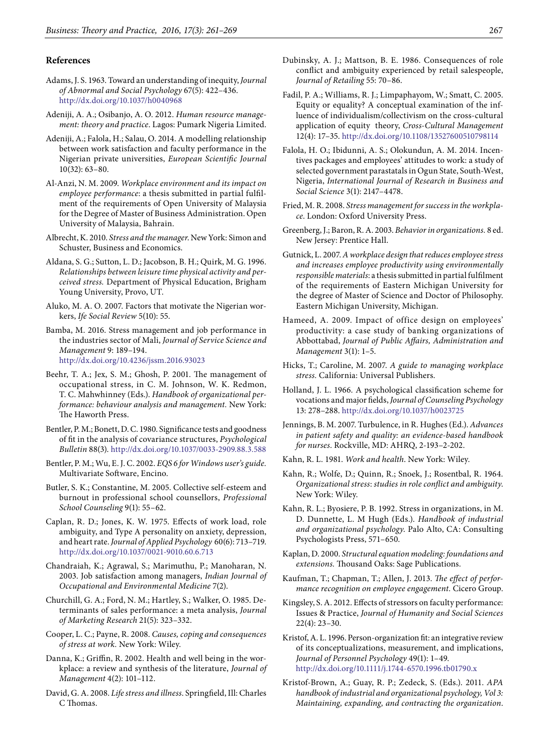#### **References**

- Adams, J. S. 1963. Toward an understanding of inequity, *Journal of Abnormal and Social Psychology* 67(5): 422–436. <http://dx.doi.org/10.1037/h0040968>
- Adeniji, A. A.; Osibanjo, A. O. 2012. *Human resource management: theory and practice*. Lagos: Pumark Nigeria Limited.
- Adeniji, A.; Falola, H.; Salau, O. 2014. A modelling relationship between work satisfaction and faculty performance in the Nigerian private universities, *European Scientific Journal* 10(32): 63–80.
- Al-Anzi, N. M. 2009. *Workplace environment and its impact on employee performance*: a thesis submitted in partial fulfilment of the requirements of Open University of Malaysia for the Degree of Master of Business Administration. Open University of Malaysia, Bahrain.
- Albrecht, K. 2010. *Stress and the manager*. New York: Simon and Schuster, Business and Economics.
- Aldana, S. G.; Sutton, L. D.; Jacobson, B. H.; Quirk, M. G. 1996. *Relationships between leisure time physical activity and perceived stress.* Department of Physical Education, Brigham Young University, Provo, UT.
- Aluko, M. A. O. 2007. Factors that motivate the Nigerian workers, *Ife Social Review* 5(10): 55.
- Bamba, M. 2016. Stress management and job performance in the industries sector of Mali, *Journal of Service Science and Management* 9: 189–194. <http://dx.doi.org/10.4236/jssm.2016.93023>
- Beehr, T. A.; Jex, S. M.; Ghosh, P. 2001. The management of occupational stress, in C. M. Johnson, W. K. Redmon, T. C. Mahwhinney (Eds.). *Handbook of organizational performance: behaviour analysis and management.* New York: The Haworth Press.
- Bentler, P. M.; Bonett, D. C. 1980. Significance tests and goodness of fit in the analysis of covariance structures, *Psychological Bulletin* 88(3). <http://dx.doi.org/10.1037/0033-2909.88.3.588>
- Bentler, P. M.; Wu, E. J. C. 2002. *EQS 6 for Windows user's guide.*  Multivariate Software, Encino.
- Butler, S. K.; Constantine, M. 2005. Collective self-esteem and burnout in professional school counsellors, *Professional School Counseling* 9(1): 55–62.
- Caplan, R. D.; Jones, K. W. 1975. Effects of work load, role ambiguity, and Type A personality on anxiety, depression, and heart rate. *Journal of Applied Psychology* 60(6): 713–719. [http://dx.doi.org/10.1037/0021-9010.60.6.713](http://psycnet.apa.org/doi/10.1037/0021-9010.60.6.713)
- Chandraiah, K.; Agrawal, S.; Marimuthu, P.; Manoharan, N. 2003. Job satisfaction among managers, *Indian Journal of Occupational and Environmental Medicine* 7(2).
- Churchill, G. A.; Ford, N. M.; Hartley, S.; Walker, O. 1985. Determinants of sales performance: a meta analysis, *Journal of Marketing Research* 21(5): 323–332.
- Cooper, L. C.; Payne, R. 2008. *Causes, coping and consequences of stress at work.* New York: Wiley.
- Danna, K.; Griffin, R. 2002. Health and well being in the workplace: a review and synthesis of the literature, *Journal of Management* 4(2): 101–112.
- David, G. A. 2008. *Life stress and illness*. Springfield, Ill: Charles C Thomas.
- Dubinsky, A. J.; Mattson, B. E. 1986. Consequences of role conflict and ambiguity experienced by retail salespeople, *Journal of Retailing* 55: 70–86.
- Fadil, P. A.; Williams, R. J.; Limpaphayom, W.; Smatt, C. 2005. Equity or equality? A conceptual examination of the influence of individualism/collectivism on the cross-cultural application of equity theory, *Cross-Cultural Management* 12(4): 17–35.<http://dx.doi.org/10.1108/13527600510798114>
- Falola, H. O.; Ibidunni, A. S.; Olokundun, A. M. 2014. Incentives packages and employees' attitudes to work: a study of selected government parastatals in Ogun State, South-West, Nigeria, *International Journal of Research in Business and Social Science* 3(1): 2147–4478.
- Fried, M. R. 2008. *Stress management for success in the workplace*. London: Oxford University Press.
- Greenberg, J.; Baron, R. A. 2003. *Behavior in organizations.* 8 ed. New Jersey: Prentice Hall.
- Gutnick, L. 2007. *A workplace design that reduces employee stress and increases employee productivity using environmentally responsible materials*: a thesis submitted in partial fulfilment of the requirements of Eastern Michigan University for the degree of Master of Science and Doctor of Philosophy. Eastern Michigan University, Michigan.
- Hameed, A. 2009. Impact of office design on employees' productivity: a case study of banking organizations of Abbottabad, *Journal of Public Affairs, Administration and Management* 3(1): 1–5.
- Hicks, T.; Caroline, M. 2007. *A guide to managing workplace stress.* California: Universal Publishers.
- Holland, J. L. 1966. A psychological classification scheme for vocations and major fields, *Journal of Counseling Psychology* 13: 278–288.<http://dx.doi.org/10.1037/h0023725>
- Jennings, B. M. 2007. Turbulence, in R. Hughes (Ed.). *Advances in patient safety and quality: an evidence-based handbook for nurses*. Rockville, MD: AHRQ, 2-193–2-202.
- Kahn, R. L. 1981. *Work and health*. New York: Wiley.
- Kahn, R.; Wolfe, D.; Quinn, R.; Snoek, J.; Rosentbal, R. 1964. *Organizational stress*: *studies in role conflict and ambiguity*. New York: Wiley.
- Kahn, R. L.; Byosiere, P. B. 1992. Stress in organizations, in M. D. Dunnette, L. M Hugh (Eds.). *Handbook of industrial and organizational psychology*. Palo Alto, CA: Consulting Psychologists Press, 571–650.
- Kaplan, D. 2000. *Structural equation modeling: foundations and extensions.* Thousand Oaks: Sage Publications.
- Kaufman, T.; Chapman, T.; Allen, J. 2013. *The effect of performance recognition on employee engagement.* Cicero Group.
- Kingsley, S. A. 2012. Effects of stressors on faculty performance: Issues & Practice, *Journal of Humanity and Social Sciences* 22(4): 23–30.
- Kristof, A. L. 1996. Person-organization fit: an integrative review of its conceptualizations, measurement, and implications, *Journal of Personnel Psychology* 49(1): 1–49. <http://dx.doi.org/10.1111/j.1744-6570.1996.tb01790.x>
- Kristof-Brown, A.; Guay, R. P.; Zedeck, S. (Eds.). 2011. *APA handbook of industrial and organizational psychology, Vol 3: Maintaining, expanding, and contracting the organization*.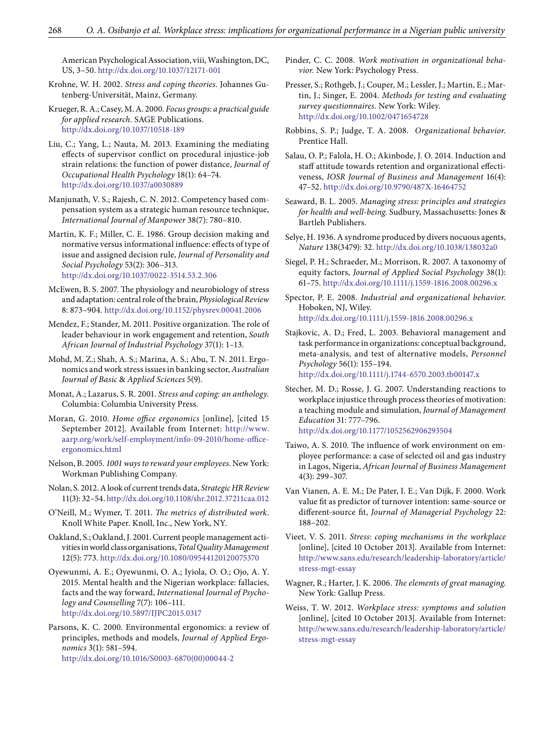American Psychological Association, viii, Washington, DC, US, 3–50.<http://dx.doi.org/10.1037/12171-001>

- Krohne, W. H. 2002. *Stress and coping theories.* Johannes Gutenberg-Universität, Mainz, Germany.
- Krueger, R. A.; Casey, M. A. 2000. *Focus groups: a practical guide for applied research.* SAGE Publications. <http://dx.doi.org/10.1037/10518-189>
- Liu, C.; Yang, L.; Nauta, M. 2013. Examining the mediating effects of supervisor conflict on procedural injustice-job strain relations: the function of power distance, *Journal of Occupational Health Psychology* 18(1): 64–74. <http://dx.doi.org/10.1037/a0030889>
- Manjunath, V. S.; Rajesh, C. N. 2012. Competency based compensation system as a strategic human resource technique, *International Journal of Manpower* 38(7): 780–810.
- Martin, K. F.; Miller, C. E. 1986. Group decision making and normative versus informational influence: effects of type of issue and assigned decision rule, *Journal of Personality and Social Psychology* 53(2): 306–313. [http://dx.doi.org/10.1037/0022-3514.53.2.306](http://psycnet.apa.org/doi/10.1037/0022-3514.53.2.306)
- McEwen, B. S. 2007. The physiology and neurobiology of stress and adaptation: central role of the brain, *Physiological Review*  8: 873–904. <http://dx.doi.org/10.1152/physrev.00041.2006>
- Mendez, F.; Stander, M. 2011. Positive organization. The role of leader behaviour in work engagement and retention, *South African Journal of Industrial Psychology* 37(1): 1–13.
- Mohd, M. Z.; Shah, A. S.; Marina, A. S.; Abu, T. N. 2011. Ergonomics and work stress issues in banking sector, *Australian Journal of Basic* & *Applied Sciences* 5(9).
- Monat, A.; Lazarus, S. R. 2001. *Stress and coping: an anthology.* Columbia: Columbia University Press.
- Moran, G. 2010. *Home office ergonomics* [online], [cited 15 September 2012]. Available from Internet: [http://www.](http://www.aarp.org/work/self-employment/info-09-2010/home-office-ergonomics.html) [aarp.org/work/self-employment/info-09-2010/home-office](http://www.aarp.org/work/self-employment/info-09-2010/home-office-ergonomics.html)[ergonomics.html](http://www.aarp.org/work/self-employment/info-09-2010/home-office-ergonomics.html)
- Nelson, B. 2005. *1001 ways to reward your employees*. New York: Workman Publishing Company.
- Nolan, S. 2012. A look of current trends data, *Strategic HR Review* 11(3): 32–54.<http://dx.doi.org/10.1108/shr.2012.37211caa.012>
- O'Neill, M.; Wymer, T. 2011. *The metrics of distributed work*. Knoll White Paper. Knoll, Inc., New York, NY.
- Oakland, S.; Oakland, J. 2001. Current people management activities in world class organisations, *Total Quality Management* 12(5): 773. <http://dx.doi.org/10.1080/09544120120075370>
- Oyewunmi, A. E.; Oyewunmi, O. A.; Iyiola, O. O.; Ojo, A. Y. 2015. Mental health and the Nigerian workplace: fallacies, facts and the way forward, *International Journal of Psychology and Counselling* 7(7): 106–111. <http://dx.doi.org/10.5897/IJPC2015.0317>
- Parsons, K. C. 2000. Environmental ergonomics: a review of principles, methods and models, *Journal of Applied Ergonomics* 3(1): 581–594. [http://dx.doi.org/10.1016/S0003-6870\(00\)00044-2](http://dx.doi.org/10.1016/S0003-6870(00)00044-2)
- Pinder, C. C. 2008. *Work motivation in organizational behavior.* New York: Psychology Press.
- Presser, S.; Rothgeb, J.; Couper, M.; Lessler, J.; Martin, E.; Martin, J.; Singer, E. 2004. *Methods for testing and evaluating survey questionnaires.* New York: Wiley. <http://dx.doi.org/10.1002/0471654728>
- Robbins, S. P.; Judge, T. A. 2008. *Organizational behavior*. Prentice Hall.
- Salau, O. P.; Falola, H. O.; Akinbode, J. O. 2014. Induction and staff attitude towards retention and organizational effectiveness, *IOSR Journal of Business and Management* 16(4): 47–52. <http://dx.doi.org/10.9790/487X-16464752>
- Seaward, B. L. 2005. *Managing stress: principles and strategies for health and well-being.* Sudbury, Massachusetts: Jones & Bartleh Publishers.
- Selye, H. 1936. A syndrome produced by divers nocuous agents, *Nature* 138(3479): 32.<http://dx.doi.org/10.1038/138032a0>
- Siegel, P. H.; Schraeder, M.; Morrison, R. 2007. A taxonomy of equity factors, *Journal of Applied Social Psychology* 38(1): 61–75.<http://dx.doi.org/10.1111/j.1559-1816.2008.00296.x>

Spector, P. E. 2008. *Industrial and organizational behavior*. Hoboken, NJ, Wiley. <http://dx.doi.org/10.1111/j.1559-1816.2008.00296.x>

- Stajkovic, A. D.; Fred, L. 2003. Behavioral management and task performance in organizations: conceptual background, meta-analysis, and test of alternative models, *Personnel Psychology* 56(1): 155–194. <http://dx.doi.org/10.1111/j.1744-6570.2003.tb00147.x>
- Stecher, M. D.; Rosse, J. G. 2007. Understanding reactions to workplace injustice through process theories of motivation: a teaching module and simulation, *Journal of Management Education* 31: 777–796. <http://dx.doi.org/10.1177/1052562906293504>
- Taiwo, A. S. 2010. The influence of work environment on employee performance: a case of selected oil and gas industry in Lagos, Nigeria, *African Journal of Business Management*  4(3): 299–307.
- Van Vianen, A. E. M.; De Pater, I. E.; Van Dijk, F. 2000. Work value fit as predictor of turnover intention: same-source or different-source fit, *Journal of Managerial Psychology* 22: 188–202.
- Vieet, V. S. 2011. *Stress: coping mechanisms in the workplace* [online], [cited 10 October 2013]. Available from Internet: [http://www.sans.edu/research/leadership-laboratory/article/](http://www.sans.edu/research/leadership-laboratory/article/stress-mgt-essay) [stress-mgt-essay](http://www.sans.edu/research/leadership-laboratory/article/stress-mgt-essay)
- Wagner, R.; Harter, J. K. 2006. *The elements of great managing*. New York: Gallup Press.
- Weiss, T. W. 2012. *Workplace stress: symptoms and solution* [online], [cited 10 October 2013]. Available from Internet: [http://www.sans.edu/research/leadership-laboratory/article/](http://www.sans.edu/research/leadership-laboratory/article/stress-mgt-essay) [stress-mgt-essay](http://www.sans.edu/research/leadership-laboratory/article/stress-mgt-essay)